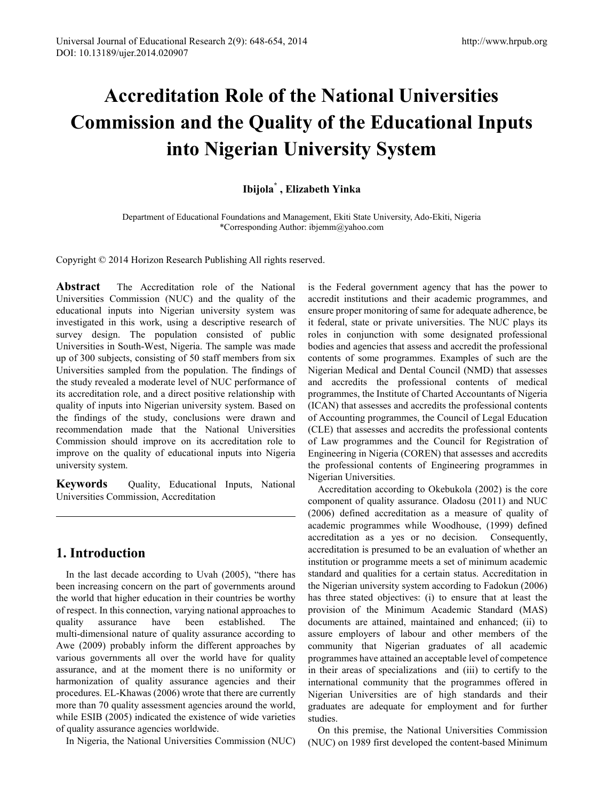# **Accreditation Role of the National Universities Commission and the Quality of the Educational Inputs into Nigerian University System**

## **Ibijola\* , Elizabeth Yinka**

Department of Educational Foundations and Management, Ekiti State University, Ado-Ekiti, Nigeria \*Corresponding Author: ibjemm@yahoo.com

Copyright © 2014 Horizon Research Publishing All rights reserved.

**Abstract** The Accreditation role of the National Universities Commission (NUC) and the quality of the educational inputs into Nigerian university system was investigated in this work, using a descriptive research of survey design. The population consisted of public Universities in South-West, Nigeria. The sample was made up of 300 subjects, consisting of 50 staff members from six Universities sampled from the population. The findings of the study revealed a moderate level of NUC performance of its accreditation role, and a direct positive relationship with quality of inputs into Nigerian university system. Based on the findings of the study, conclusions were drawn and recommendation made that the National Universities Commission should improve on its accreditation role to improve on the quality of educational inputs into Nigeria university system.

**Keywords** Quality, Educational Inputs, National Universities Commission, Accreditation

# **1. Introduction**

In the last decade according to Uvah (2005), "there has been increasing concern on the part of governments around the world that higher education in their countries be worthy of respect. In this connection, varying national approaches to quality assurance have been established. The multi-dimensional nature of quality assurance according to Awe (2009) probably inform the different approaches by various governments all over the world have for quality assurance, and at the moment there is no uniformity or harmonization of quality assurance agencies and their procedures. EL-Khawas (2006) wrote that there are currently more than 70 quality assessment agencies around the world, while ESIB (2005) indicated the existence of wide varieties of quality assurance agencies worldwide.

In Nigeria, the National Universities Commission (NUC)

is the Federal government agency that has the power to accredit institutions and their academic programmes, and ensure proper monitoring of same for adequate adherence, be it federal, state or private universities. The NUC plays its roles in conjunction with some designated professional bodies and agencies that assess and accredit the professional contents of some programmes. Examples of such are the Nigerian Medical and Dental Council (NMD) that assesses and accredits the professional contents of medical programmes, the Institute of Charted Accountants of Nigeria (ICAN) that assesses and accredits the professional contents of Accounting programmes, the Council of Legal Education (CLE) that assesses and accredits the professional contents of Law programmes and the Council for Registration of Engineering in Nigeria (COREN) that assesses and accredits the professional contents of Engineering programmes in Nigerian Universities.

Accreditation according to Okebukola (2002) is the core component of quality assurance. Oladosu (2011) and NUC (2006) defined accreditation as a measure of quality of academic programmes while Woodhouse, (1999) defined accreditation as a yes or no decision. Consequently, accreditation is presumed to be an evaluation of whether an institution or programme meets a set of minimum academic standard and qualities for a certain status. Accreditation in the Nigerian university system according to Fadokun (2006) has three stated objectives: (i) to ensure that at least the provision of the Minimum Academic Standard (MAS) documents are attained, maintained and enhanced; (ii) to assure employers of labour and other members of the community that Nigerian graduates of all academic programmes have attained an acceptable level of competence in their areas of specializations and (iii) to certify to the international community that the programmes offered in Nigerian Universities are of high standards and their graduates are adequate for employment and for further studies.

On this premise, the National Universities Commission (NUC) on 1989 first developed the content-based Minimum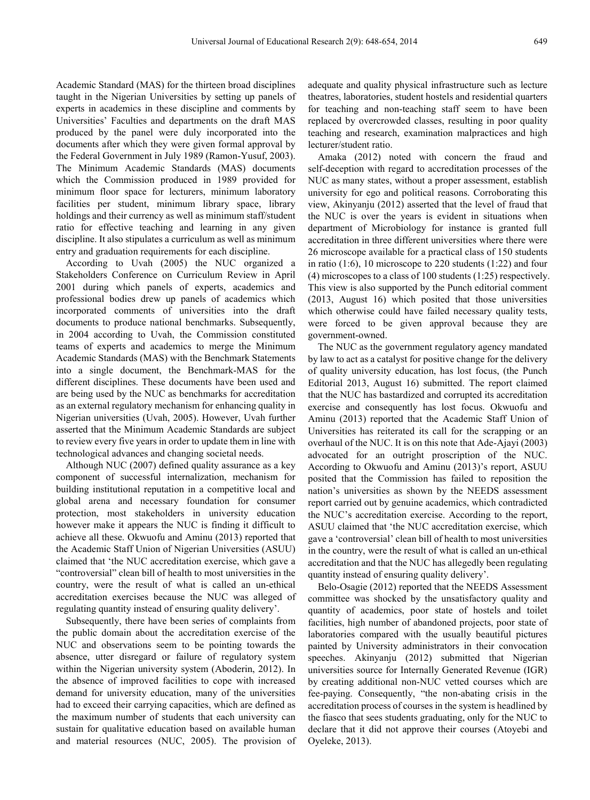Academic Standard (MAS) for the thirteen broad disciplines taught in the Nigerian Universities by setting up panels of experts in academics in these discipline and comments by Universities' Faculties and departments on the draft MAS produced by the panel were duly incorporated into the documents after which they were given formal approval by the Federal Government in July 1989 (Ramon-Yusuf, 2003). The Minimum Academic Standards (MAS) documents which the Commission produced in 1989 provided for minimum floor space for lecturers, minimum laboratory facilities per student, minimum library space, library holdings and their currency as well as minimum staff/student ratio for effective teaching and learning in any given discipline. It also stipulates a curriculum as well as minimum entry and graduation requirements for each discipline.

According to Uvah (2005) the NUC organized a Stakeholders Conference on Curriculum Review in April 2001 during which panels of experts, academics and professional bodies drew up panels of academics which incorporated comments of universities into the draft documents to produce national benchmarks. Subsequently, in 2004 according to Uvah, the Commission constituted teams of experts and academics to merge the Minimum Academic Standards (MAS) with the Benchmark Statements into a single document, the Benchmark-MAS for the different disciplines. These documents have been used and are being used by the NUC as benchmarks for accreditation as an external regulatory mechanism for enhancing quality in Nigerian universities (Uvah, 2005). However, Uvah further asserted that the Minimum Academic Standards are subject to review every five years in order to update them in line with technological advances and changing societal needs.

Although NUC (2007) defined quality assurance as a key component of successful internalization, mechanism for building institutional reputation in a competitive local and global arena and necessary foundation for consumer protection, most stakeholders in university education however make it appears the NUC is finding it difficult to achieve all these. Okwuofu and Aminu (2013) reported that the Academic Staff Union of Nigerian Universities (ASUU) claimed that 'the NUC accreditation exercise, which gave a "controversial" clean bill of health to most universities in the country, were the result of what is called an un-ethical accreditation exercises because the NUC was alleged of regulating quantity instead of ensuring quality delivery'.

Subsequently, there have been series of complaints from the public domain about the accreditation exercise of the NUC and observations seem to be pointing towards the absence, utter disregard or failure of regulatory system within the Nigerian university system (Aboderin, 2012). In the absence of improved facilities to cope with increased demand for university education, many of the universities had to exceed their carrying capacities, which are defined as the maximum number of students that each university can sustain for qualitative education based on available human and material resources (NUC, 2005). The provision of

adequate and quality physical infrastructure such as lecture theatres, laboratories, student hostels and residential quarters for teaching and non-teaching staff seem to have been replaced by overcrowded classes, resulting in poor quality teaching and research, examination malpractices and high lecturer/student ratio.

Amaka (2012) noted with concern the fraud and self-deception with regard to accreditation processes of the NUC as many states, without a proper assessment, establish university for ego and political reasons. Corroborating this view, Akinyanju (2012) asserted that the level of fraud that the NUC is over the years is evident in situations when department of Microbiology for instance is granted full accreditation in three different universities where there were 26 microscope available for a practical class of 150 students in ratio (1:6), 10 microscope to 220 students (1:22) and four (4) microscopes to a class of 100 students (1:25) respectively. This view is also supported by the Punch editorial comment (2013, August 16) which posited that those universities which otherwise could have failed necessary quality tests, were forced to be given approval because they are government-owned.

The NUC as the government regulatory agency mandated by law to act as a catalyst for positive change for the delivery of quality university education, has lost focus, (the Punch Editorial 2013, August 16) submitted. The report claimed that the NUC has bastardized and corrupted its accreditation exercise and consequently has lost focus. Okwuofu and Aminu (2013) reported that the Academic Staff Union of Universities has reiterated its call for the scrapping or an overhaul of the NUC. It is on this note that Ade-Ajayi (2003) advocated for an outright proscription of the NUC. According to Okwuofu and Aminu (2013)'s report, ASUU posited that the Commission has failed to reposition the nation's universities as shown by the NEEDS assessment report carried out by genuine academics, which contradicted the NUC's accreditation exercise. According to the report, ASUU claimed that 'the NUC accreditation exercise, which gave a 'controversial' clean bill of health to most universities in the country, were the result of what is called an un-ethical accreditation and that the NUC has allegedly been regulating quantity instead of ensuring quality delivery'.

Belo-Osagie (2012) reported that the NEEDS Assessment committee was shocked by the unsatisfactory quality and quantity of academics, poor state of hostels and toilet facilities, high number of abandoned projects, poor state of laboratories compared with the usually beautiful pictures painted by University administrators in their convocation speeches. Akinyanju (2012) submitted that Nigerian universities source for Internally Generated Revenue (IGR) by creating additional non-NUC vetted courses which are fee-paying. Consequently, "the non-abating crisis in the accreditation process of courses in the system is headlined by the fiasco that sees students graduating, only for the NUC to declare that it did not approve their courses (Atoyebi and Oyeleke, 2013).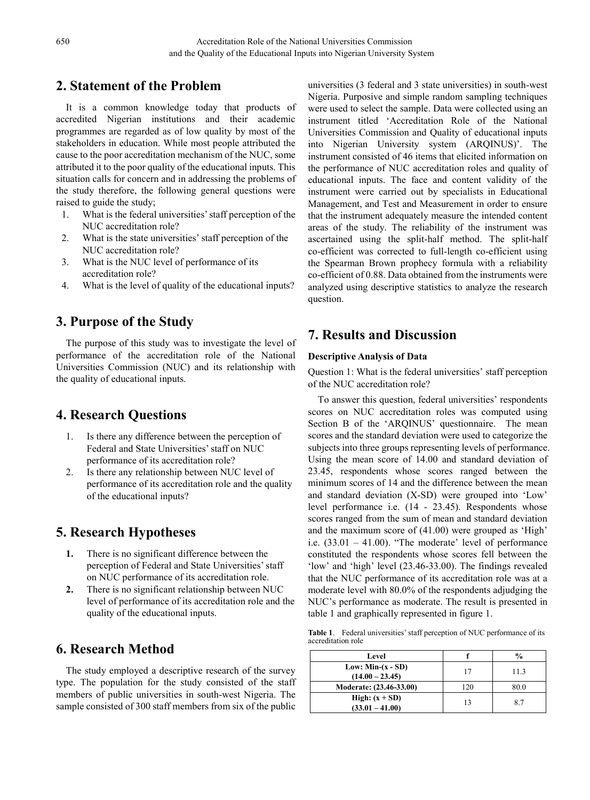# **2. Statement of the Problem**

It is a common knowledge today that products of accredited Nigerian institutions and their academic programmes are regarded as of low quality by most of the stakeholders in education. While most people attributed the cause to the poor accreditation mechanism of the NUC, some attributed it to the poor quality of the educational inputs. This situation calls for concern and in addressing the problems of the study therefore, the following general questions were raised to guide the study;

- 1. What is the federal universities' staff perception of the NUC accreditation role?
- 2. What is the state universities' staff perception of the NUC accreditation role?
- 3. What is the NUC level of performance of its accreditation role?
- 4. What is the level of quality of the educational inputs?

## **3. Purpose of the Study**

The purpose of this study was to investigate the level of performance of the accreditation role of the National Universities Commission (NUC) and its relationship with the quality of educational inputs.

# **4. Research Questions**

- 1. Is there any difference between the perception of Federal and State Universities' staff on NUC performance of its accreditation role?
- 2. Is there any relationship between NUC level of performance of its accreditation role and the quality of the educational inputs?

# **5. Research Hypotheses**

- **1.** There is no significant difference between the perception of Federal and State Universities' staff on NUC performance of its accreditation role.
- **2.** There is no significant relationship between NUC level of performance of its accreditation role and the quality of the educational inputs.

# **6. Research Method**

The study employed a descriptive research of the survey type. The population for the study consisted of the staff members of public universities in south-west Nigeria. The sample consisted of 300 staff members from six of the public

universities (3 federal and 3 state universities) in south-west Nigeria. Purposive and simple random sampling techniques were used to select the sample. Data were collected using an instrument titled 'Accreditation Role of the National Universities Commission and Quality of educational inputs into Nigerian University system (ARQINUS)'. The instrument consisted of 46 items that elicited information on the performance of NUC accreditation roles and quality of educational inputs. The face and content validity of the instrument were carried out by specialists in Educational Management, and Test and Measurement in order to ensure that the instrument adequately measure the intended content areas of the study. The reliability of the instrument was ascertained using the split-half method. The split-half co-efficient was corrected to full-length co-efficient using the Spearman Brown prophecy formula with a reliability co-efficient of 0.88. Data obtained from the instruments were analyzed using descriptive statistics to analyze the research question.

## **7. Results and Discussion**

#### **Descriptive Analysis of Data**

Question 1: What is the federal universities' staff perception of the NUC accreditation role?

To answer this question, federal universities' respondents scores on NUC accreditation roles was computed using Section B of the 'ARQINUS' questionnaire. The mean scores and the standard deviation were used to categorize the subjects into three groups representing levels of performance. Using the mean score of 14.00 and standard deviation of 23.45, respondents whose scores ranged between the minimum scores of 14 and the difference between the mean and standard deviation (X-SD) were grouped into 'Low' level performance i.e. (14 - 23.45). Respondents whose scores ranged from the sum of mean and standard deviation and the maximum score of (41.00) were grouped as 'High' i.e. (33.01 – 41.00). "The moderate' level of performance constituted the respondents whose scores fell between the 'low' and 'high' level (23.46-33.00). The findings revealed that the NUC performance of its accreditation role was at a moderate level with 80.0% of the respondents adjudging the NUC's performance as moderate. The result is presented in table 1 and graphically represented in figure 1.

**Table 1**. Federal universities' staff perception of NUC performance of its accreditation role

| Level                   |     | $\frac{0}{0}$ |  |
|-------------------------|-----|---------------|--|
| Low: Min- $(x - SD)$    | 17  | 11.3          |  |
| $(14.00 - 23.45)$       |     |               |  |
| Moderate: (23.46-33.00) | 120 | 80.0          |  |
| High: $(x + SD)$        | 13  | 8.7           |  |
| $(33.01 - 41.00)$       |     |               |  |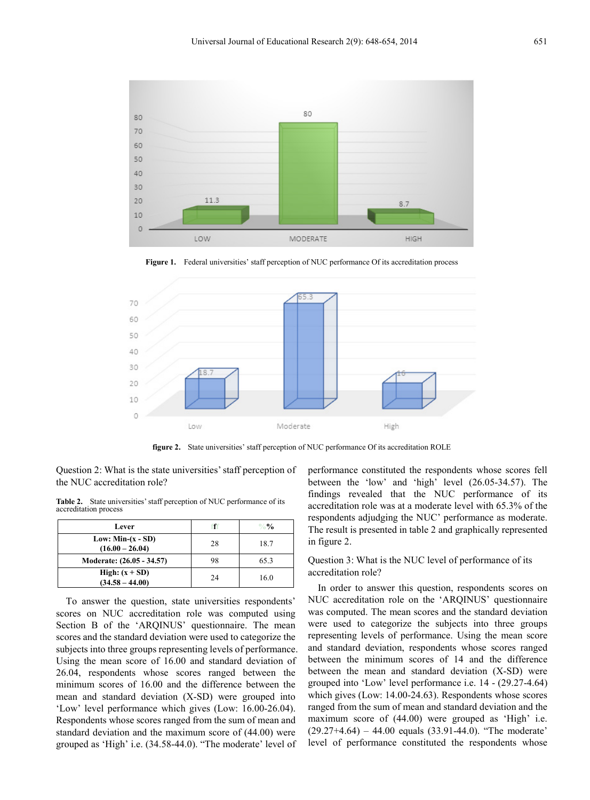

70 60 50 40 30 20 10  $\circ$ Moderate Low High

Figure 1. Federal universities' staff perception of NUC performance Of its accreditation process

**figure 2.** State universities' staff perception of NUC performance Of its accreditation ROLE

Question 2: What is the state universities' staff perception of the NUC accreditation role?

**Table 2.** State universities' staff perception of NUC performance of its accreditation process

| Lever                                     | f  | $\frac{0}{0}$ |
|-------------------------------------------|----|---------------|
| Low: Min- $(x - SD)$<br>$(16.00 - 26.04)$ | 28 | 18.7          |
| Moderate: (26.05 - 34.57)                 | 98 | 65.3          |
| High: $(x + SD)$<br>$(34.58 - 44.00)$     | 24 | 16.0          |

To answer the question, state universities respondents' scores on NUC accreditation role was computed using Section B of the 'ARQINUS' questionnaire. The mean scores and the standard deviation were used to categorize the subjects into three groups representing levels of performance. Using the mean score of 16.00 and standard deviation of 26.04, respondents whose scores ranged between the minimum scores of 16.00 and the difference between the mean and standard deviation (X-SD) were grouped into 'Low' level performance which gives (Low: 16.00-26.04). Respondents whose scores ranged from the sum of mean and standard deviation and the maximum score of (44.00) were grouped as 'High' i.e. (34.58-44.0). "The moderate' level of

performance constituted the respondents whose scores fell between the 'low' and 'high' level (26.05-34.57). The findings revealed that the NUC performance of its accreditation role was at a moderate level with 65.3% of the respondents adjudging the NUC' performance as moderate. The result is presented in table 2 and graphically represented in figure 2.

#### Question 3: What is the NUC level of performance of its accreditation role?

In order to answer this question, respondents scores on NUC accreditation role on the 'ARQINUS' questionnaire was computed. The mean scores and the standard deviation were used to categorize the subjects into three groups representing levels of performance. Using the mean score and standard deviation, respondents whose scores ranged between the minimum scores of 14 and the difference between the mean and standard deviation (X-SD) were grouped into 'Low' level performance i.e. 14 - (29.27-4.64) which gives (Low: 14.00-24.63). Respondents whose scores ranged from the sum of mean and standard deviation and the maximum score of (44.00) were grouped as 'High' i.e.  $(29.27+4.64) - 44.00$  equals  $(33.91-44.0)$ . "The moderate" level of performance constituted the respondents whose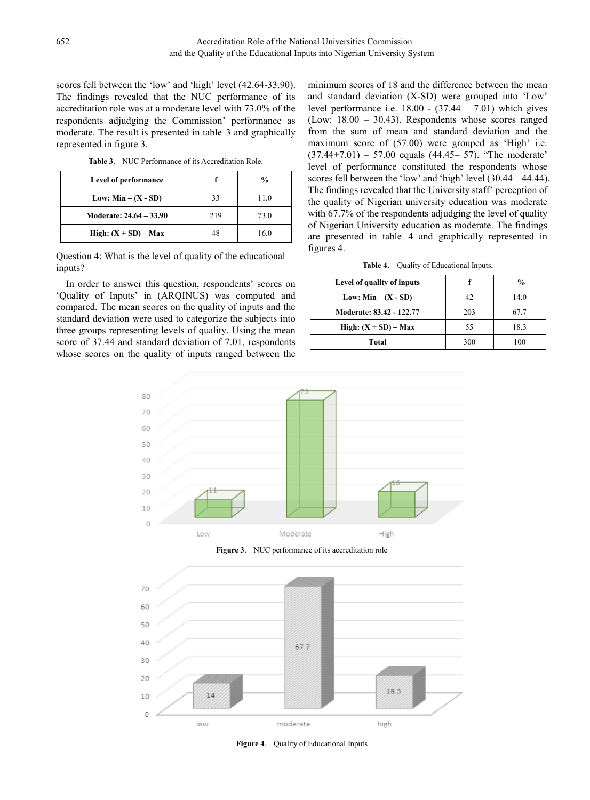scores fell between the 'low' and 'high' level (42.64-33.90). The findings revealed that the NUC performance of its accreditation role was at a moderate level with 73.0% of the respondents adjudging the Commission' performance as moderate. The result is presented in table 3 and graphically represented in figure 3.

**Table 3**. NUC Performance of its Accreditation Role.

| Level of performance    |     | $\frac{0}{0}$ |  |
|-------------------------|-----|---------------|--|
| Low: $Min - (X - SD)$   | 33  | 11.0          |  |
| Moderate: 24.64 - 33.90 | 219 | 73.0          |  |
| High: $(X + SD) - Max$  |     | 16.0          |  |

Question 4: What is the level of quality of the educational inputs?

In order to answer this question, respondents' scores on 'Quality of Inputs' in (ARQINUS) was computed and compared. The mean scores on the quality of inputs and the standard deviation were used to categorize the subjects into three groups representing levels of quality. Using the mean score of 37.44 and standard deviation of 7.01, respondents whose scores on the quality of inputs ranged between the minimum scores of 18 and the difference between the mean and standard deviation (X-SD) were grouped into 'Low' level performance i.e.  $18.00 - (37.44 - 7.01)$  which gives (Low: 18.00 – 30.43). Respondents whose scores ranged from the sum of mean and standard deviation and the maximum score of (57.00) were grouped as 'High' i.e.  $(37.44+7.01) - 57.00$  equals  $(44.45-57)$ . "The moderate" level of performance constituted the respondents whose scores fell between the 'low' and 'high' level (30.44 – 44.44). The findings revealed that the University staff' perception of the quality of Nigerian university education was moderate with 67.7% of the respondents adjudging the level of quality of Nigerian University education as moderate. The findings are presented in table 4 and graphically represented in figures 4.

| Table 4. |  | Quality of Educational Inputs. |  |
|----------|--|--------------------------------|--|
|----------|--|--------------------------------|--|

| Level of quality of inputs |     | $\frac{0}{0}$ |  |
|----------------------------|-----|---------------|--|
| Low: $Min - (X - SD)$      | 42  | 14.0          |  |
| Moderate: 83.42 - 122.77   | 203 | 67 7          |  |
| High: $(X + SD) - Max$     | 55  | 18.3          |  |
| Total                      | 300 | 100           |  |



**Figure 3**. NUC performance of its accreditation role



**Figure 4**. Quality of Educational Inputs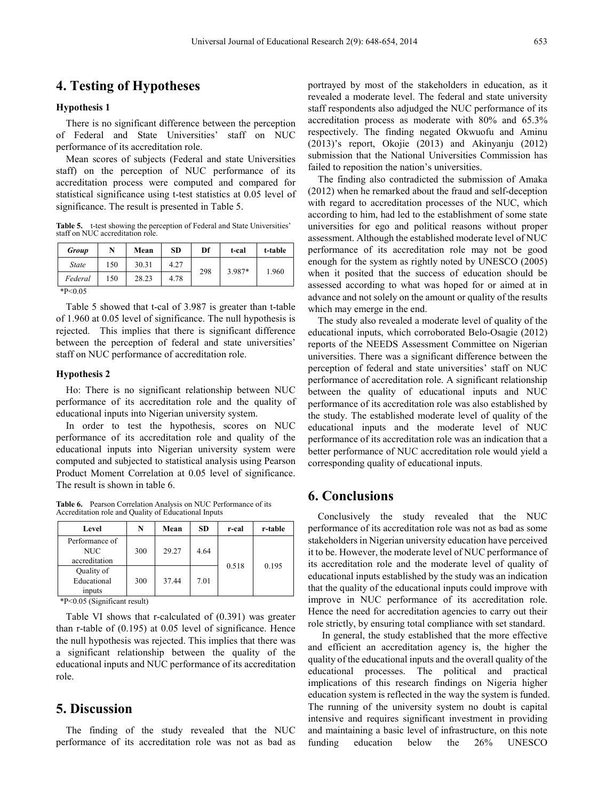## **4. Testing of Hypotheses**

#### **Hypothesis 1**

There is no significant difference between the perception of Federal and State Universities' staff on NUC performance of its accreditation role.

Mean scores of subjects (Federal and state Universities staff) on the perception of NUC performance of its accreditation process were computed and compared for statistical significance using t-test statistics at 0.05 level of significance. The result is presented in Table 5.

**Table 5.** t-test showing the perception of Federal and State Universities' staff on NUC accreditation role.

| Group        | N   | Mean  | <b>SD</b> | Df  | t-cal  | t-table |
|--------------|-----|-------|-----------|-----|--------|---------|
| <b>State</b> | 150 | 30.31 | 4.27      | 298 | 3.987* |         |
| Federal      | 150 | 28.23 | 4.78      |     |        | 1.960   |
| $*P<0.05$    |     |       |           |     |        |         |

Table 5 showed that t-cal of 3.987 is greater than t-table of 1.960 at 0.05 level of significance. The null hypothesis is rejected. This implies that there is significant difference between the perception of federal and state universities' staff on NUC performance of accreditation role.

#### **Hypothesis 2**

Ho: There is no significant relationship between NUC performance of its accreditation role and the quality of educational inputs into Nigerian university system.

In order to test the hypothesis, scores on NUC performance of its accreditation role and quality of the educational inputs into Nigerian university system were computed and subjected to statistical analysis using Pearson Product Moment Correlation at 0.05 level of significance. The result is shown in table 6.

**Table 6.** Pearson Correlation Analysis on NUC Performance of its Accreditation role and Quality of Educational Inputs

| Level                                  | N   | Mean  | <b>SD</b> | r-cal | r-table |
|----------------------------------------|-----|-------|-----------|-------|---------|
| Performance of<br>NUC<br>accreditation | 300 | 29.27 | 4.64      |       |         |
| Quality of<br>Educational<br>inputs    | 300 | 37.44 | 7.01      | 0.518 | 0.195   |

\*P<0.05 (Significant result)

Table VI shows that r-calculated of (0.391) was greater than r-table of (0.195) at 0.05 level of significance. Hence the null hypothesis was rejected. This implies that there was a significant relationship between the quality of the educational inputs and NUC performance of its accreditation role.

## **5. Discussion**

The finding of the study revealed that the NUC performance of its accreditation role was not as bad as

portrayed by most of the stakeholders in education, as it revealed a moderate level. The federal and state university staff respondents also adjudged the NUC performance of its accreditation process as moderate with 80% and 65.3% respectively. The finding negated Okwuofu and Aminu (2013)'s report, Okojie (2013) and Akinyanju (2012) submission that the National Universities Commission has failed to reposition the nation's universities.

The finding also contradicted the submission of Amaka (2012) when he remarked about the fraud and self-deception with regard to accreditation processes of the NUC, which according to him, had led to the establishment of some state universities for ego and political reasons without proper assessment. Although the established moderate level of NUC performance of its accreditation role may not be good enough for the system as rightly noted by UNESCO (2005) when it posited that the success of education should be assessed according to what was hoped for or aimed at in advance and not solely on the amount or quality of the results which may emerge in the end.

The study also revealed a moderate level of quality of the educational inputs, which corroborated Belo-Osagie (2012) reports of the NEEDS Assessment Committee on Nigerian universities. There was a significant difference between the perception of federal and state universities' staff on NUC performance of accreditation role. A significant relationship between the quality of educational inputs and NUC performance of its accreditation role was also established by the study. The established moderate level of quality of the educational inputs and the moderate level of NUC performance of its accreditation role was an indication that a better performance of NUC accreditation role would yield a corresponding quality of educational inputs.

## **6. Conclusions**

Conclusively the study revealed that the NUC performance of its accreditation role was not as bad as some stakeholders in Nigerian university education have perceived it to be. However, the moderate level of NUC performance of its accreditation role and the moderate level of quality of educational inputs established by the study was an indication that the quality of the educational inputs could improve with improve in NUC performance of its accreditation role. Hence the need for accreditation agencies to carry out their role strictly, by ensuring total compliance with set standard.

In general, the study established that the more effective and efficient an accreditation agency is, the higher the quality of the educational inputs and the overall quality of the educational processes. The political and practical implications of this research findings on Nigeria higher education system is reflected in the way the system is funded. The running of the university system no doubt is capital intensive and requires significant investment in providing and maintaining a basic level of infrastructure, on this note funding education below the 26% UNESCO